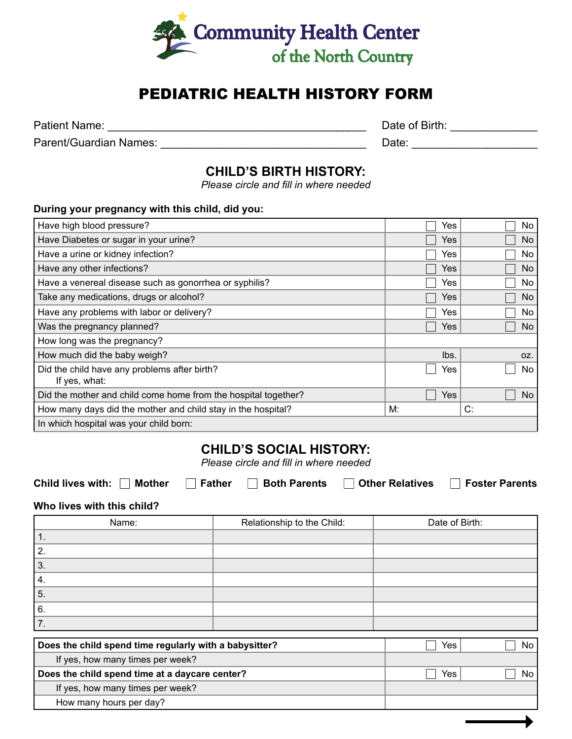

# PEDIATRIC HEALTH HISTORY FORM

Parent/Guardian Names: \_\_\_\_\_\_\_\_\_\_\_\_\_\_\_\_\_\_\_\_\_\_\_\_\_\_\_\_\_\_\_\_\_ Date: \_\_\_\_\_\_\_\_\_\_\_\_\_\_\_\_\_\_\_\_

Patient Name: \_\_\_\_\_\_\_\_\_\_\_\_\_\_\_\_\_\_\_\_\_\_\_\_\_\_\_\_\_\_\_\_\_\_\_\_\_\_\_\_\_\_ Date of Birth: \_\_\_\_\_\_\_\_\_\_\_\_\_\_

## **CHILD'S BIRTH HISTORY:**

*Please circle and fill in where needed*

#### **During your pregnancy with this child, did you:**

| Have high blood pressure?                                      | Yes        | No. |
|----------------------------------------------------------------|------------|-----|
| Have Diabetes or sugar in your urine?                          | Yes        | No  |
| Have a urine or kidney infection?                              | Yes        | No. |
| Have any other infections?                                     | Yes        | No. |
| Have a venereal disease such as gonorrhea or syphilis?         | Yes        | No  |
| Take any medications, drugs or alcohol?                        | Yes        | No. |
| Have any problems with labor or delivery?                      | Yes        | No  |
| Was the pregnancy planned?                                     | Yes        | No. |
| How long was the pregnancy?                                    |            |     |
| How much did the baby weigh?                                   | lbs.       | OZ. |
| Did the child have any problems after birth?<br>If yes, what:  | Yes        | No. |
| Did the mother and child come home from the hospital together? | <b>Yes</b> | No. |
| How many days did the mother and child stay in the hospital?   | M:         | C:  |
| In which hospital was your child born:                         |            |     |

## **CHILD'S SOCIAL HISTORY:**

*Please circle and fill in where needed*

Child lives with: **Mother Father Foster Both Parents Foster Barents** Child lives with: Function Farents

**Who lives with this child?**

| Name: | Relationship to the Child: | Date of Birth: |
|-------|----------------------------|----------------|
| л.    |                            |                |
| 2.    |                            |                |
| 3.    |                            |                |
| 4.    |                            |                |
| 5.    |                            |                |
| 6.    |                            |                |
|       |                            |                |

| Yes | No. |
|-----|-----|
|     |     |
| Yes | No. |
|     |     |
|     |     |
|     |     |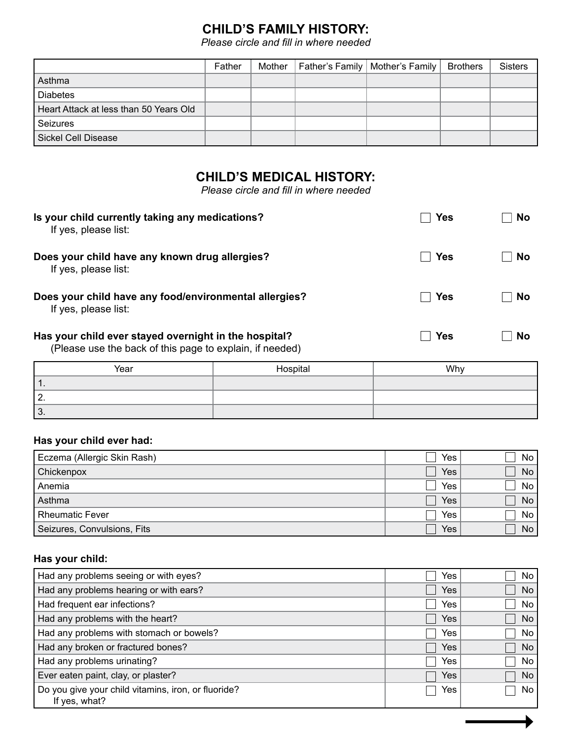# **CHILD'S FAMILY HISTORY:**

*Please circle and fill in where needed*

|                                        | Father | Mother | Father's Family   Mother's Family   Brothers | <b>Sisters</b> |
|----------------------------------------|--------|--------|----------------------------------------------|----------------|
| Asthma                                 |        |        |                                              |                |
| <b>Diabetes</b>                        |        |        |                                              |                |
| Heart Attack at less than 50 Years Old |        |        |                                              |                |
| Seizures                               |        |        |                                              |                |
| Sickel Cell Disease                    |        |        |                                              |                |

# **CHILD'S MEDICAL HISTORY:**

*Please circle and fill in where needed*

| Is your child currently taking any medications?<br>If yes, please list:                                           | Yes        | <b>No</b> |
|-------------------------------------------------------------------------------------------------------------------|------------|-----------|
| Does your child have any known drug allergies?<br>If yes, please list:                                            | Yes        | <b>No</b> |
| Does your child have any food/environmental allergies?<br>If yes, please list:                                    | <b>Yes</b> | <b>No</b> |
| Has your child ever stayed overnight in the hospital?<br>(Please use the back of this page to explain, if needed) | Yes        | <b>No</b> |

| Year     | Hospital | Why |
|----------|----------|-----|
| .        |          |     |
| <u>.</u> |          |     |
| n<br>ືບ. |          |     |

### **Has your child ever had:**

| Eczema (Allergic Skin Rash) | Yes | No l            |
|-----------------------------|-----|-----------------|
| Chickenpox                  | Yes | No <sub>1</sub> |
| Anemia                      | Yes | No              |
| Asthma                      | Yes | No              |
| <b>Rheumatic Fever</b>      | Yes | No l            |
| Seizures, Convulsions, Fits | Yes | No <sub>1</sub> |

#### **Has your child:**

| Had any problems seeing or with eyes?                                | Yes        | No  |
|----------------------------------------------------------------------|------------|-----|
| Had any problems hearing or with ears?                               | Yes        | No  |
| Had frequent ear infections?                                         | Yes        | No  |
| Had any problems with the heart?                                     | Yes        | No  |
| Had any problems with stomach or bowels?                             | Yes        | No. |
| Had any broken or fractured bones?                                   | Yes        | No. |
| Had any problems urinating?                                          | Yes        | No. |
| Ever eaten paint, clay, or plaster?                                  | <b>Yes</b> | No. |
| Do you give your child vitamins, iron, or fluoride?<br>If yes, what? | Yes        | No. |